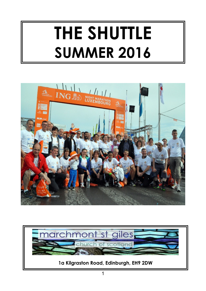# **THE SHUTTLE SUMMER 2016**



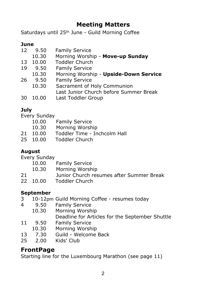# **Meeting Matters**

Saturdays until 25th June - Guild Morning Coffee

#### **June**

- 12 9.50 Family Service
	- 10.30 Morning Worship **Move-up Sunday**
- 13 10.00 Toddler Church<br>19 9.50 Family Service
- **Family Service**
- 10.30 Morning Worship **Upside-Down Service**
- 26 9.50 Family Service
	- 10.30 Sacrament of Holy Communion Last Junior Church before Summer Break
- 30 10.00 Last Toddler Group

#### **July**

Every Sunday

- 10.00 Family Service 10.30 Morning Worship<br>21 10.00 Toddler Time - In Toddler Time - Inchcolm Hall
- 25 10.00 Toddler Church

#### **August**

Every Sunday

- 10.00 Family Service
- 10.30 Morning Worship
- 21 Junior Church resumes after Summer Break
- 22 10.00 Toddler Church

### **September**

- 3 10-12pm Guild Morning Coffee resumes today
- 4 9.50 Family Service
- 10.30 Morning Worship Deadline for Articles for the September Shuttle
- 11 9.50 Family Service
- 10.30 Morning Worship
- 13 7.30 Guild Welcome Back<br>25 2.00 Kids' Club
- 2.00 Kids' Club

### **FrontPage**

Starting line for the Luxembourg Marathon (see page 11)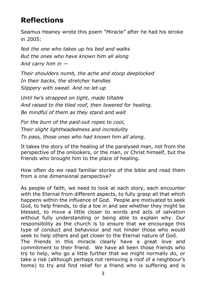# **Reflections**

Seamus Heaney wrote this poem "Miracle" after he had his stroke in 2005:

*Not the one who takes up his bed and walks But the ones who have known him all along And carry him in —*

*Their shoulders numb, the ache and stoop deeplocked In their backs, the stretcher handles Slippery with sweat. And no let-up*

*Until he's strapped on tight, made tiltable And raised to the tiled roof, then lowered for healing. Be mindful of them as they stand and wait*

*For the burn of the paid-out ropes to cool, Their slight lightheadedness and incredulity To pass, those ones who had known him all along.*

It takes the story of the healing of the paralysed man, not from the perspective of the onlookers, or the man, or Christ himself, but the friends who brought him to the place of healing.

How often do we read familiar stories of the bible and read them from a one dimensional perspective?

As people of faith, we need to look at each story, each encounter with the Eternal from different aspects, to fully grasp all that which happens within the influence of God. People are motivated to seek God, to help friends, to dip a toe in and see whether they might be blessed, to move a little closer to words and acts of salvation without fully understanding or being able to explain why. Our responsibility as the church is to ensure that we encourage this type of conduct and behaviour and not hinder those who would seek to help others and get closer to the Eternal nature of God. The friends in this miracle clearly have a great love and commitment to their friend. We have all been those friends who try to help, who go a little further that we might normally do, or take a risk (although perhaps not removing a roof of a neighbour's home) to try and find relief for a friend who is suffering and is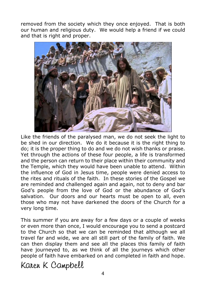removed from the society which they once enjoyed. That is both our human and religious duty. We would help a friend if we could and that is right and proper.



Like the friends of the paralysed man, we do not seek the light to be shed in our direction. We do it because it is the right thing to do; it is the proper thing to do and we do not wish thanks or praise. Yet through the actions of these four people, a life is transformed and the person can return to their place within their community and the Temple, which they would have been unable to attend. Within the influence of God in Jesus time, people were denied access to the rites and rituals of the faith. In these stories of the Gospel we are reminded and challenged again and again, not to deny and bar God's people from the love of God or the abundance of God's salvation. Our doors and our hearts must be open to all, even those who may not have darkened the doors of the Church for a very long time.

This summer if you are away for a few days or a couple of weeks or even more than once, I would encourage you to send a postcard to the Church so that we can be reminded that although we all travel far and wide, we are all still part of the family of faith. We can then display them and see all the places this family of faith have journeyed to, as we think of all the journeys which other people of faith have embarked on and completed in faith and hope.

Karen K Campbell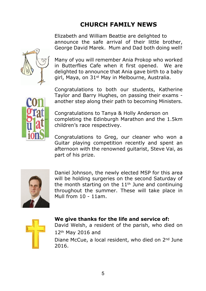# **CHURCH FAMILY NEWS**

Elizabeth and William Beattie are delighted to announce the safe arrival of their little brother, George David Marek. Mum and Dad both doing well!



Many of you will remember Ania Prokop who worked in Butterflies Cafe when it first opened. We are delighted to announce that Ania gave birth to a baby girl, Maya, on 31<sup>st</sup> May in Melbourne, Australia.



Congratulations to both our students, Katherine Taylor and Barry Hughes, on passing their exams another step along their path to becoming Ministers.

Congratulations to Tanya & Holly Anderson on completing the Edinburgh Marathon and the 1.5km children's race respectivey.

Congratulations to Greg, our cleaner who won a Guitar playing competition recently and spent an afternoon with the renowned guitarist, Steve Vai, as part of his prize.



Daniel Johnson, the newly elected MSP for this area will be holding surgeries on the second Saturday of the month starting on the  $11<sup>th</sup>$  June and continuing throughout the summer. These will take place in Mull from 10 - 11am.



#### **We give thanks for the life and service of:**

David Welsh, a resident of the parish, who died on 12th May 2016 and

Diane McCue, a local resident, who died on 2<sup>nd</sup> June 2016.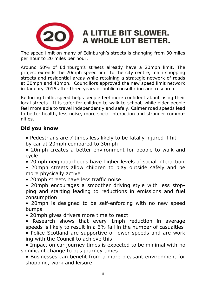

# A LITTLE BIT SLOWER. A WHOLE LOT BETTER.

The speed limit on many of Edinburgh's streets is changing from 30 miles per hour to 20 miles per hour.

Around 50% of Edinburgh's streets already have a 20mph limit. The project extends the 20mph speed limit to the city centre, main shopping streets and residential areas while retaining a strategic network of roads at 30mph and 40mph. Councillors approved the new speed limit network in January 2015 after three years of public consultation and research.

Reducing traffic speed helps people feel more confident about using their local streets. It is safer for children to walk to school, while older people feel more able to travel independently and safely. Calmer road speeds lead to better health, less noise, more social interaction and stronger communities.

#### **Did you know**

- Pedestrians are 7 times less likely to be fatally injured if hit by car at 20mph compared to 30mph
- 20mph creates a better environment for people to walk and cycle
- 20mph neighbourhoods have higher levels of social interaction
- 20mph streets allow children to play outside safely and be more physically active
- 20mph streets have less traffic noise
- 20mph encourages a smoother driving style with less stop ping and starting leading to reductions in emissions and fuel consumption

 • 20mph is designed to be self-enforcing with no new speed bumps

- 20mph gives drivers more time to react
- Research shows that every 1mph reduction in average speeds is likely to result in a 6% fall in the number of casualties
- Police Scotland are supportive of lower speeds and are work ing with the Council to achieve this

 • Impact on car journey times is expected to be minimal with no significant change to bus journey times

 • Businesses can benefit from a more pleasant environment for shopping, work and leisure.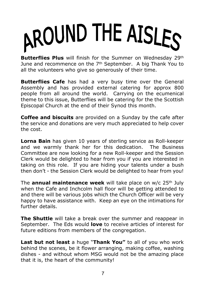# AROUND THE AISLES

**Butterflies Plus** will finish for the Summer on Wednesday 29th June and recommence on the 7th September. A big Thank You to all the volunteers who give so generously of their time.

**Butterflies Cafe** has had a very busy time over the General Assembly and has provided external catering for approx 800 people from all around the world. Carrying on the ecumenical theme to this issue, Butterflies will be catering for the the Scottish Episcopal Church at the end of their Synod this month.

**Coffee and biscuits** are provided on a Sunday by the cafe after the service and donations are very much appreciated to help cover the cost.

**Lorna Bain** has given 10 years of sterling service as Roll-keeper and we warmly thank her for this dedication. The Business Committee are now looking for a new Roll-keeper and the Session Clerk would be delighted to hear from you if you are interested in taking on this role. If you are hiding your talents under a bush then don't - the Session Clerk would be delighted to hear from you!

The **annual maintenance week** will take place on w/c 25th July when the Cafe and Inchcolm hall floor will be getting attended to and there will be various jobs which the Church Officer will be very happy to have assistance with. Keep an eye on the intimations for further details.

**The Shuttle** will take a break over the summer and reappear in September. The Eds would **love** to receive articles of interest for future editions from members of the congregation.

**Last but not least** a huge "**Thank You"** to all of you who work behind the scenes, be it flower arranging, making coffee, washing dishes - and without whom MSG would not be the amazing place that it is, the heart of the community!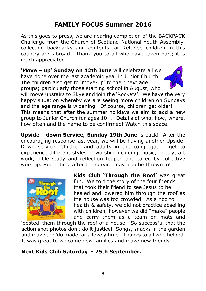# **FAMILY FOCUS Summer 2016**

As this goes to press, we are nearing completion of the BACKPACK Challenge from the Church of Scotland National Youth Assembly, collecting backpacks and contents for Refugee children in this country and abroad. Thank you to all who have taken part; it is much appreciated.

**'Move – up' Sunday on 12th June** will celebrate all we have done over the last academic year in Junior Church The children also get to 'move-up' to their next age groups; particularly those starting school in August, who



will move upstairs to Skye and join the 'Rockets'. We have the very happy situation whereby we are seeing more children on Sundays and the age range is widening. Of course, children get older! This means that after the summer holidays we aim to add a new group to Junior Church for ages 10+. Details of who, how, where, how often and the name to be confirmed! Watch this space.

**Upside - down Service, Sunday 19th June** is back! After the encouraging response last year, we will be having another Upside-Down service. Children and adults in the congregation get to experience different styles of worship including music, poetry, art work, bible study and reflection topped and tailed by collective worship. Social time after the service may also be thrown in!



**Kids Club 'Through the Roof'** was great fun. We told the story of the four friends that took their friend to see Jesus to be healed and lowered him through the roof as the house was too crowded. As a nod to health & safety, we did not practice abseiling with children, however we did "make" people and carry them as a team on mats and

'posted' them through the roof of a house! So successful that the action shot photos don't do it justice! Songs, snacks in the garden and make'and'do made for a lovely time. Thanks to all who helped. It was great to welcome new families and make new friends.

#### **Next Kids Club Saturday - 25th September.**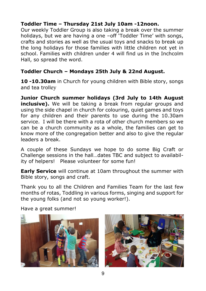#### **Toddler Time – Thursday 21st July 10am -12noon.**

Our weekly Toddler Group is also taking a break over the summer holidays, but we are having a one -off 'Toddler Time' with songs, crafts and stories as well as the usual toys and snacks to break up the long holidays for those families with little children not yet in school. Families with children under 4 will find us in the Inchcolm Hall, so spread the word.

#### **Toddler Church – Mondays 25th July & 22nd August.**

**10 -10.30am** in Church for young children with Bible story, songs and tea trolley

**Junior Church summer holidays (3rd July to 14th August inclusive).** We will be taking a break from regular groups and using the side chapel in church for colouring, quiet games and toys for any children and their parents to use during the 10.30am service. I will be there with a rota of other church members so we can be a church community as a whole, the families can get to know more of the congregation better and also to give the regular leaders a break.

A couple of these Sundays we hope to do some Big Craft or Challenge sessions in the hall…dates TBC and subject to availability of helpers! Please volunteer for some fun!

**Early Service** will continue at 10am throughout the summer with Bible story, songs and craft.

Thank you to all the Children and Families Team for the last few months of rotas, Toddling in various forms, singing and support for the young folks (and not so young worker!).

Have a great summer!



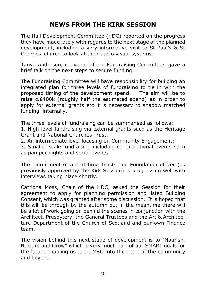# **NEWS FROM THE KIRK SESSION**

The Hall Development Committee (HDC) reported on the progress they have made lately with regards to the next stage of the planned development, including a very informative visit to St Paul's & St Georges' church to look at their audio visual systems.

Tanya Anderson, convenor of the Fundraising Committee, gave a brief talk on the next steps to secure funding.

The Fundraising Committee will have responsibility for building an integrated plan for three levels of fundraising to tie in with the proposed timing of the development spend. The aim will be to raise c.£400k (roughly half the estimated spend) as in order to apply for external grants etc it is necessary to shadow matched funding internally.

The three levels of fundraising can be summarised as follows:

1. High level fundraising via external grants such as the Heritage Grant and National Churches Trust.

2. An intermediate level focusing on Community Engagement;

3. Smaller scale fundraising including congregational events such as pamper nights and social events.

The recruitment of a part-time Trusts and Foundation officer (as previously approved by the Kirk Session) is progressing well with interviews taking place shortly.

Catriona Moss, Chair of the HDC, asked the Session for their agreement to apply for planning permission and listed Building Consent, which was granted after some discussion. It is hoped that this will be through by the autumn but in the meantime there will be a lot of work going on behind the scenes in conjunction with the Architect, Presbytery, the General Trustees and the Art & Architecture Department of the Church of Scotland and our own Finance team.

The vision behind this next stage of development is to "Nourish, Nurture and Grow" which is very much part of our SMART goals for the future enabling us to tie MSG into the heart of the community and beyond.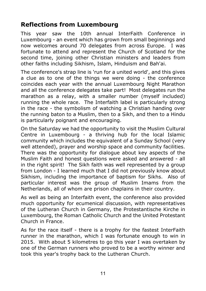# **Reflections from Luxembourg**

This year saw the 10th annual InterFaith Conference in Luxembourg - an event which has grown from small beginnings and now welcomes around 70 delegates from across Europe. I was fortunate to attend and represent the Church of Scotland for the second time, joining other Christian ministers and leaders from other faiths including Sikhism, Islam, Hinduism and Bah'ai.

The conference's strap line is 'run for a united world', and this gives a clue as to one of the things we were doing - the conference coincides each year with the annual Luxembourg Night Marathon and all the conference delegates take part! Most delegates run the marathon as a relay, with a smaller number (myself included) running the whole race. The Interfaith label is particularly strong in the race - the symbolism of watching a Christian handing over the running baton to a Muslim, then to a Sikh, and then to a Hindu is particularly poignant and encouraging.

On the Saturday we had the opportunity to visit the Muslim Cultural Centre in Luxembourg - a thriving hub for the local Islamic community which includes the equivalent of a Sunday School (very well attended), prayer and worship space and community facilities. There was the opportunity for dialogue about key aspects of the Muslim Faith and honest questions were asked and answered - all in the right spirit! The Sikh faith was well represented by a group from London - I learned much that I did not previously know about Sikhism, including the importance of baptism for Sikhs. Also of particular interest was the group of Muslim Imams from the Netherlands, all of whom are prison chaplains in their country.

As well as being an Interfaith event, the conference also provided much opportunity for ecumenical discussion, with representatives of the Lutheran Church in Germany, the Protestantische Kirche in Luxembourg, the Roman Catholic Church and the United Protestant Church in France.

As for the race itself - there is a trophy for the fastest InterFaith runner in the marathon, which I was fortunate enough to win in 2015. With about 5 kilometres to go this year I was overtaken by one of the German runners who proved to be a worthy winner and took this year's trophy back to the Lutheran Church.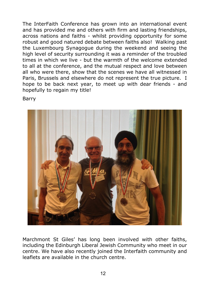The InterFaith Conference has grown into an international event and has provided me and others with firm and lasting friendships, across nations and faiths - whilst providing opportunity for some robust and good natured debate between faiths also! Walking past the Luxembourg Synagogue during the weekend and seeing the high level of security surrounding it was a reminder of the troubled times in which we live - but the warmth of the welcome extended to all at the conference, and the mutual respect and love between all who were there, show that the scenes we have all witnessed in Paris, Brussels and elsewhere do not represent the true picture. I hope to be back next year, to meet up with dear friends - and hopefully to regain my title!

Barry



Marchmont St Giles' has long been involved with other faiths, including the Edinburgh Liberal Jewish Community who meet in our centre. We have also recently joined the Interfaith community and leaflets are available in the church centre.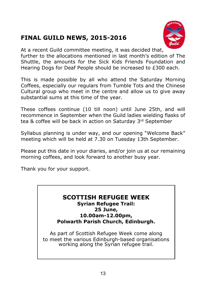# **FINAL GUILD NEWS, 2015-2016**



At a recent Guild committee meeting, it was decided that,

further to the allocations mentioned in last month's edition of The Shuttle, the amounts for the Sick Kids Friends Foundation and Hearing Dogs for Deaf People should be increased to £300 each.

This is made possible by all who attend the Saturday Morning Coffees, especially our regulars from Tumble Tots and the Chinese Cultural group who meet in the centre and allow us to give away substantial sums at this time of the year.

These coffees continue (10 till noon) until June 25th, and will recommence in September when the Guild ladies wielding flasks of tea & coffee will be back in action on Saturday 3rd September

Syllabus planning is under way, and our opening "Welcome Back" meeting which will be held at 7.30 on Tuesday 13th September.

Please put this date in your diaries, and/or join us at our remaining morning coffees, and look forward to another busy year.

Thank you for your support.

#### **SCOTTISH REFUGEE WEEK Syrian Refugee Trail: 25 June, 10.00am-12.00pm, Polwarth Parish Church, Edinburgh.**

As part of Scottish Refugee Week come along to meet the various Edinburgh-based organisations working along the Syrian refugee trail.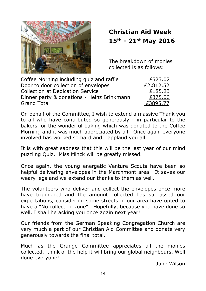

# **Christian Aid Week 15th - 21st May 2016**

The breakdown of monies collected is as follows:

| Coffee Morning including quiz and raffle   | £523.02   |
|--------------------------------------------|-----------|
| Door to door collection of envelopes       | £2,812.52 |
| <b>Collection at Dedication Service</b>    | £185.23   |
| Dinner party & donations - Heinz Brinkmann | £375.00   |
| <b>Grand Total</b>                         | £3895.77  |

On behalf of the Committee, I wish to extend a massive Thank you to all who have contributed so generously - in particular to the bakers for the wonderful baking which was donated to the Coffee Morning and it was much appreciated by all. Once again everyone involved has worked so hard and I applaud you all.

It is with great sadness that this will be the last year of our mind puzzling Quiz. Miss Minck will be greatly missed.

Once again, the young energetic Venture Scouts have been so helpful delivering envelopes in the Marchmont area. It saves our weary legs and we extend our thanks to them as well.

The volunteers who deliver and collect the envelopes once more have triumphed and the amount collected has surpassed our expectations, considering some streets in our area have opted to have a "No collection zone". Hopefully, because you have done so well, I shall be asking you once again next year!

Our friends from the German Speaking Congregation Church are very much a part of our Christian Aid Committee and donate very generously towards the final total.

Much as the Grange Committee appreciates all the monies collected, think of the help it will bring our global neighbours. Well done everyone!!

June Wilson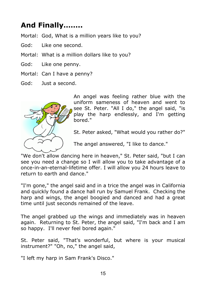# **And Finally……..**

Mortal: God, What is a million years like to you?

- God: Like one second.
- Mortal: What is a million dollars like to you?
- God: Like one penny.
- Mortal: Can I have a penny?
- God: Just a second.



An angel was feeling rather blue with the uniform sameness of heaven and went to see St. Peter. "All I do," the angel said, "is play the harp endlessly, and I'm getting bored."

St. Peter asked, "What would you rather do?"

The angel answered, "I like to dance."

"We don't allow dancing here in heaven," St. Peter said, "but I can see you need a change so I will allow you to take advantage of a once-in-an-eternal-lifetime offer. I will allow you 24 hours leave to return to earth and dance."

"I'm gone," the angel said and in a trice the angel was in California and quickly found a dance hall run by Samuel Frank. Checking the harp and wings, the angel boogied and danced and had a great time until just seconds remained of the leave.

The angel grabbed up the wings and immediately was in heaven again. Returning to St. Peter, the angel said, "I'm back and I am so happy. I'll never feel bored again."

St. Peter said, "That's wonderful, but where is your musical instrument?" "Oh, no," the angel said,

"I left my harp in Sam Frank's Disco."